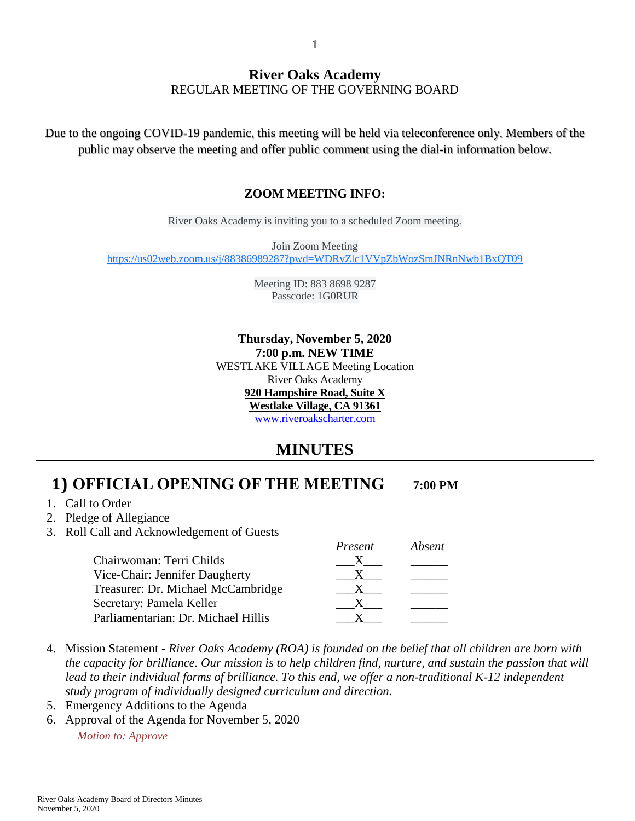#### **River Oaks Academy** REGULAR MEETING OF THE GOVERNING BOARD

Due to the ongoing COVID-19 pandemic, this meeting will be held via teleconference only. Members of the public may observe the meeting and offer public comment using the dial-in information below.

#### **ZOOM MEETING INFO:**

River Oaks Academy is inviting you to a scheduled Zoom meeting.

Join Zoom Meeting [https://us02web.zoom.us/j/88386989287?pwd=WDRvZlc1VVpZbWozSmJNRnNwb1BxQT09](https://www.google.com/url?q=https://us02web.zoom.us/j/88386989287?pwd%3DWDRvZlc1VVpZbWozSmJNRnNwb1BxQT09&sa=D&source=calendar&ust=1602451152955000&usg=AOvVaw3N36dumWsNfIco8XTfal9l)

> Meeting ID: 883 8698 9287 Passcode: 1G0RUR

**Thursday, November 5, 2020 7:00 p.m. NEW TIME** WESTLAKE VILLAGE Meeting Location River Oaks Academy **920 Hampshire Road, Suite X Westlake Village, CA 91361** [www.riveroakscharter.com](http://www.riveroakscharter.com/)

### **MINUTES**

### **1) OFFICIAL OPENING OF THE MEETING 7:00 PM**

- 1. Call to Order
- 2. Pledge of Allegiance
- 3. Roll Call and Acknowledgement of Guests

|                                     | Present | Absent |
|-------------------------------------|---------|--------|
| Chairwoman: Terri Childs            |         |        |
| Vice-Chair: Jennifer Daugherty      |         |        |
| Treasurer: Dr. Michael McCambridge  |         |        |
| Secretary: Pamela Keller            |         |        |
| Parliamentarian: Dr. Michael Hillis |         |        |

- 4. Mission Statement *River Oaks Academy (ROA) is founded on the belief that all children are born with the capacity for brilliance. Our mission is to help children find, nurture, and sustain the passion that will*  lead to their individual forms of brilliance. To this end, we offer a non-traditional K-12 independent *study program of individually designed curriculum and direction.*
- 5. Emergency Additions to the Agenda
- 6. Approval of the Agenda for November 5, 2020

*Motion to: Approve*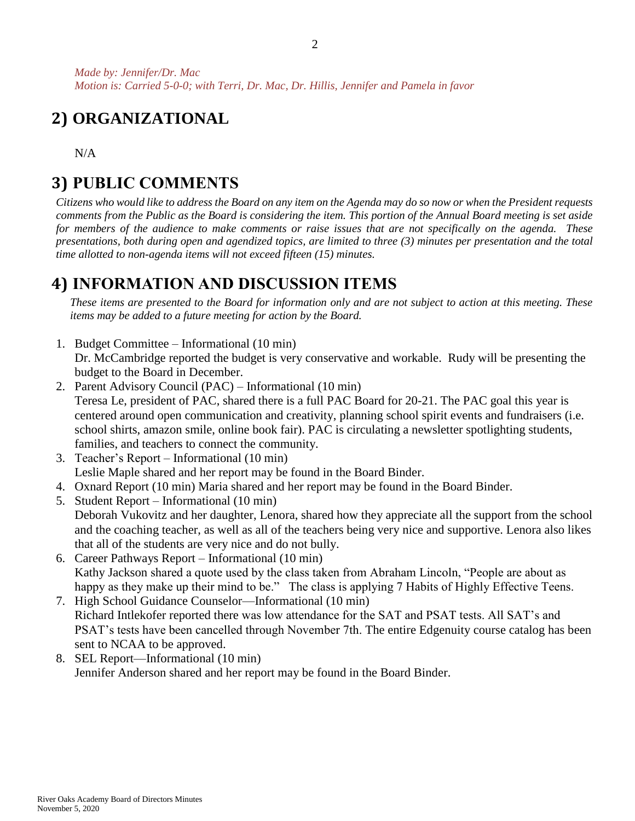# **2) ORGANIZATIONAL**

N/A

# **3) PUBLIC COMMENTS**

*Citizens who would like to address the Board on any item on the Agenda may do so now or when the President requests comments from the Public as the Board is considering the item. This portion of the Annual Board meeting is set aside for members of the audience to make comments or raise issues that are not specifically on the agenda. These presentations, both during open and agendized topics, are limited to three (3) minutes per presentation and the total time allotted to non-agenda items will not exceed fifteen (15) minutes.*

## **4) INFORMATION AND DISCUSSION ITEMS**

*These items are presented to the Board for information only and are not subject to action at this meeting. These items may be added to a future meeting for action by the Board.*

1. Budget Committee – Informational (10 min)

Dr. McCambridge reported the budget is very conservative and workable. Rudy will be presenting the budget to the Board in December.

- 2. Parent Advisory Council (PAC) Informational (10 min) Teresa Le, president of PAC, shared there is a full PAC Board for 20-21. The PAC goal this year is centered around open communication and creativity, planning school spirit events and fundraisers (i.e. school shirts, amazon smile, online book fair). PAC is circulating a newsletter spotlighting students, families, and teachers to connect the community.
- 3. Teacher's Report Informational (10 min) Leslie Maple shared and her report may be found in the Board Binder.
- 4. Oxnard Report (10 min) Maria shared and her report may be found in the Board Binder.
- 5. Student Report Informational (10 min) Deborah Vukovitz and her daughter, Lenora, shared how they appreciate all the support from the school and the coaching teacher, as well as all of the teachers being very nice and supportive. Lenora also likes that all of the students are very nice and do not bully.
- 6. Career Pathways Report Informational (10 min) Kathy Jackson shared a quote used by the class taken from Abraham Lincoln, "People are about as happy as they make up their mind to be." The class is applying 7 Habits of Highly Effective Teens.
- 7. High School Guidance Counselor—Informational (10 min) Richard Intlekofer reported there was low attendance for the SAT and PSAT tests. All SAT's and PSAT's tests have been cancelled through November 7th. The entire Edgenuity course catalog has been sent to NCAA to be approved.
- 8. SEL Report—Informational (10 min) Jennifer Anderson shared and her report may be found in the Board Binder.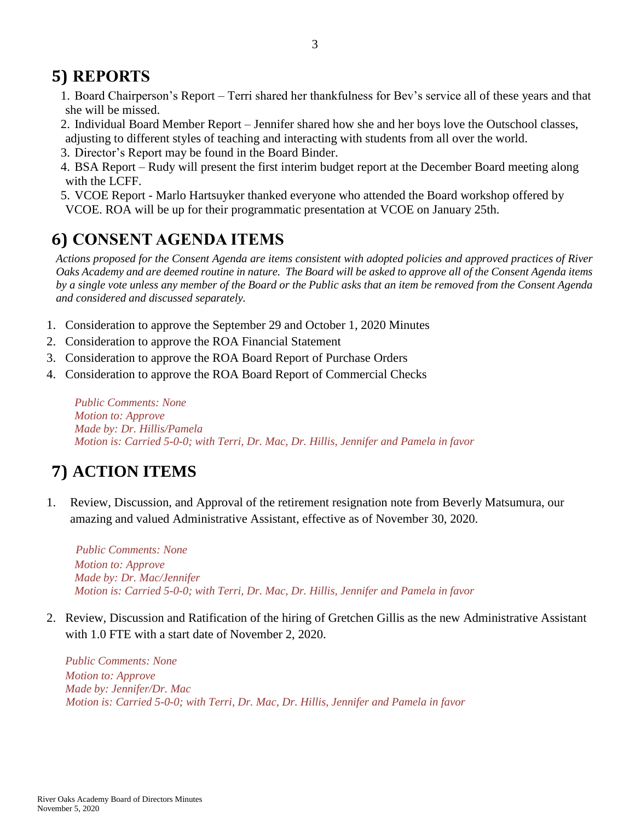# **5) REPORTS**

- 1. Board Chairperson's Report Terri shared her thankfulness for Bev's service all of these years and that she will be missed.
- 2. Individual Board Member Report Jennifer shared how she and her boys love the Outschool classes, adjusting to different styles of teaching and interacting with students from all over the world.
- 3. Director's Report may be found in the Board Binder.
- 4. BSA Report Rudy will present the first interim budget report at the December Board meeting along with the LCFF.
- 5. VCOE Report Marlo Hartsuyker thanked everyone who attended the Board workshop offered by VCOE. ROA will be up for their programmatic presentation at VCOE on January 25th.

## **6) CONSENT AGENDA ITEMS**

*Actions proposed for the Consent Agenda are items consistent with adopted policies and approved practices of River Oaks Academy and are deemed routine in nature. The Board will be asked to approve all of the Consent Agenda items by a single vote unless any member of the Board or the Public asks that an item be removed from the Consent Agenda and considered and discussed separately.*

- 1. Consideration to approve the September 29 and October 1, 2020 Minutes
- 2. Consideration to approve the ROA Financial Statement
- 3. Consideration to approve the ROA Board Report of Purchase Orders
- 4. Consideration to approve the ROA Board Report of Commercial Checks

*Public Comments: None Motion to: Approve Made by: Dr. Hillis/Pamela Motion is: Carried 5-0-0; with Terri, Dr. Mac, Dr. Hillis, Jennifer and Pamela in favor*

# **7) ACTION ITEMS**

1. Review, Discussion, and Approval of the retirement resignation note from Beverly Matsumura, our amazing and valued Administrative Assistant, effective as of November 30, 2020.

 *Public Comments: None Motion to: Approve Made by: Dr. Mac/Jennifer Motion is: Carried 5-0-0; with Terri, Dr. Mac, Dr. Hillis, Jennifer and Pamela in favor*

2. Review, Discussion and Ratification of the hiring of Gretchen Gillis as the new Administrative Assistant with 1.0 FTE with a start date of November 2, 2020.

*Public Comments: None Motion to: Approve Made by: Jennifer/Dr. Mac Motion is: Carried 5-0-0; with Terri, Dr. Mac, Dr. Hillis, Jennifer and Pamela in favor*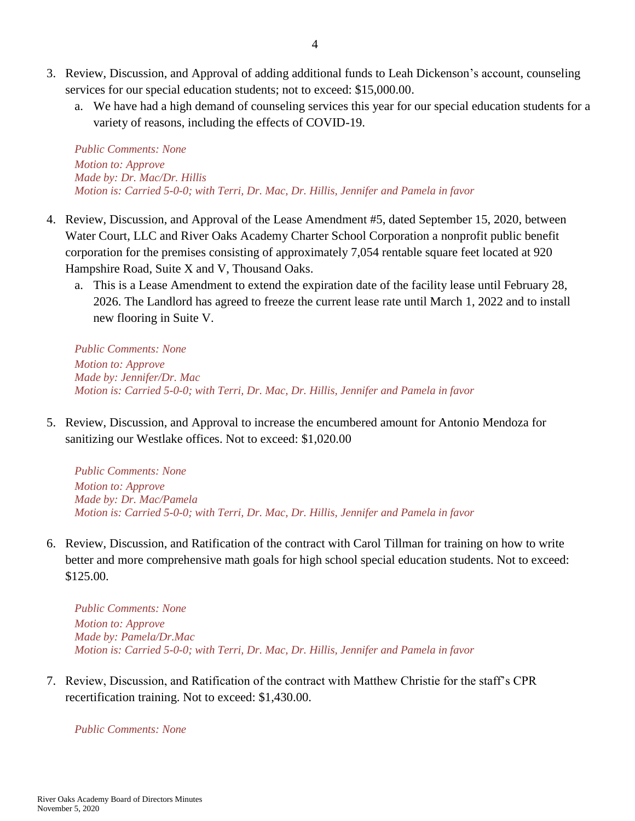- 3. Review, Discussion, and Approval of adding additional funds to Leah Dickenson's account, counseling services for our special education students; not to exceed: \$15,000.00.
	- a. We have had a high demand of counseling services this year for our special education students for a variety of reasons, including the effects of COVID-19.

*Public Comments: None Motion to: Approve Made by: Dr. Mac/Dr. Hillis Motion is: Carried 5-0-0; with Terri, Dr. Mac, Dr. Hillis, Jennifer and Pamela in favor*

- 4. Review, Discussion, and Approval of the Lease Amendment #5, dated September 15, 2020, between Water Court, LLC and River Oaks Academy Charter School Corporation a nonprofit public benefit corporation for the premises consisting of approximately 7,054 rentable square feet located at 920 Hampshire Road, Suite X and V, Thousand Oaks.
	- a. This is a Lease Amendment to extend the expiration date of the facility lease until February 28, 2026. The Landlord has agreed to freeze the current lease rate until March 1, 2022 and to install new flooring in Suite V.

*Public Comments: None Motion to: Approve Made by: Jennifer/Dr. Mac Motion is: Carried 5-0-0; with Terri, Dr. Mac, Dr. Hillis, Jennifer and Pamela in favor*

5. Review, Discussion, and Approval to increase the encumbered amount for Antonio Mendoza for sanitizing our Westlake offices. Not to exceed: \$1,020.00

*Public Comments: None Motion to: Approve Made by: Dr. Mac/Pamela Motion is: Carried 5-0-0; with Terri, Dr. Mac, Dr. Hillis, Jennifer and Pamela in favor*

6. Review, Discussion, and Ratification of the contract with Carol Tillman for training on how to write better and more comprehensive math goals for high school special education students. Not to exceed: \$125.00.

*Public Comments: None Motion to: Approve Made by: Pamela/Dr.Mac Motion is: Carried 5-0-0; with Terri, Dr. Mac, Dr. Hillis, Jennifer and Pamela in favor*

7. Review, Discussion, and Ratification of the contract with Matthew Christie for the staff's CPR recertification training. Not to exceed: \$1,430.00.

*Public Comments: None*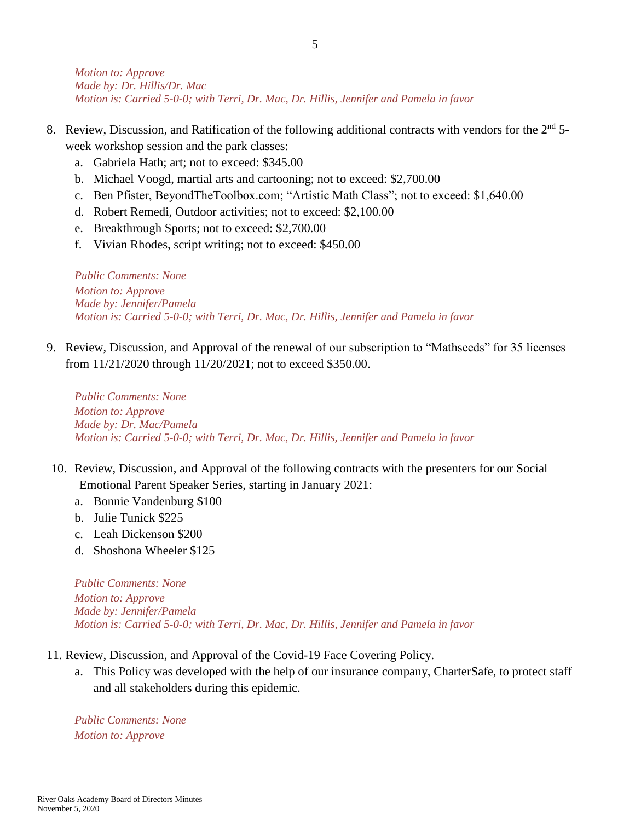*Motion to: Approve Made by: Dr. Hillis/Dr. Mac Motion is: Carried 5-0-0; with Terri, Dr. Mac, Dr. Hillis, Jennifer and Pamela in favor*

- 8. Review, Discussion, and Ratification of the following additional contracts with vendors for the  $2<sup>nd</sup>$  5week workshop session and the park classes:
	- a. Gabriela Hath; art; not to exceed: \$345.00
	- b. Michael Voogd, martial arts and cartooning; not to exceed: \$2,700.00
	- c. Ben Pfister, BeyondTheToolbox.com; "Artistic Math Class"; not to exceed: \$1,640.00
	- d. Robert Remedi, Outdoor activities; not to exceed: \$2,100.00
	- e. Breakthrough Sports; not to exceed: \$2,700.00
	- f. Vivian Rhodes, script writing; not to exceed: \$450.00

*Public Comments: None Motion to: Approve Made by: Jennifer/Pamela Motion is: Carried 5-0-0; with Terri, Dr. Mac, Dr. Hillis, Jennifer and Pamela in favor*

9. Review, Discussion, and Approval of the renewal of our subscription to "Mathseeds" for 35 licenses from 11/21/2020 through 11/20/2021; not to exceed \$350.00.

*Public Comments: None Motion to: Approve Made by: Dr. Mac/Pamela Motion is: Carried 5-0-0; with Terri, Dr. Mac, Dr. Hillis, Jennifer and Pamela in favor*

- 10. Review, Discussion, and Approval of the following contracts with the presenters for our Social Emotional Parent Speaker Series, starting in January 2021:
	- a. Bonnie Vandenburg \$100
	- b. Julie Tunick \$225
	- c. Leah Dickenson \$200
	- d. Shoshona Wheeler \$125

*Public Comments: None Motion to: Approve Made by: Jennifer/Pamela Motion is: Carried 5-0-0; with Terri, Dr. Mac, Dr. Hillis, Jennifer and Pamela in favor*

- 11. Review, Discussion, and Approval of the Covid-19 Face Covering Policy.
	- a. This Policy was developed with the help of our insurance company, CharterSafe, to protect staff and all stakeholders during this epidemic.

*Public Comments: None Motion to: Approve*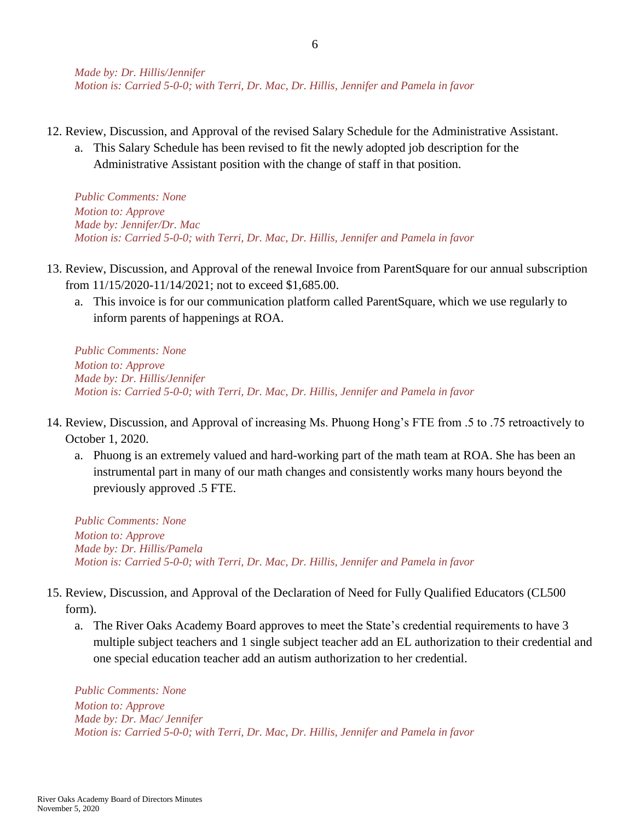- 12. Review, Discussion, and Approval of the revised Salary Schedule for the Administrative Assistant.
	- a. This Salary Schedule has been revised to fit the newly adopted job description for the Administrative Assistant position with the change of staff in that position.

*Public Comments: None Motion to: Approve Made by: Jennifer/Dr. Mac Motion is: Carried 5-0-0; with Terri, Dr. Mac, Dr. Hillis, Jennifer and Pamela in favor*

- 13. Review, Discussion, and Approval of the renewal Invoice from ParentSquare for our annual subscription from 11/15/2020-11/14/2021; not to exceed \$1,685.00.
	- a. This invoice is for our communication platform called ParentSquare, which we use regularly to inform parents of happenings at ROA.

*Public Comments: None Motion to: Approve Made by: Dr. Hillis/Jennifer Motion is: Carried 5-0-0; with Terri, Dr. Mac, Dr. Hillis, Jennifer and Pamela in favor*

- 14. Review, Discussion, and Approval of increasing Ms. Phuong Hong's FTE from .5 to .75 retroactively to October 1, 2020.
	- a. Phuong is an extremely valued and hard-working part of the math team at ROA. She has been an instrumental part in many of our math changes and consistently works many hours beyond the previously approved .5 FTE.

*Public Comments: None Motion to: Approve Made by: Dr. Hillis/Pamela Motion is: Carried 5-0-0; with Terri, Dr. Mac, Dr. Hillis, Jennifer and Pamela in favor*

- 15. Review, Discussion, and Approval of the Declaration of Need for Fully Qualified Educators (CL500 form).
	- a. The River Oaks Academy Board approves to meet the State's credential requirements to have 3 multiple subject teachers and 1 single subject teacher add an EL authorization to their credential and one special education teacher add an autism authorization to her credential.

*Public Comments: None Motion to: Approve Made by: Dr. Mac/ Jennifer Motion is: Carried 5-0-0; with Terri, Dr. Mac, Dr. Hillis, Jennifer and Pamela in favor*